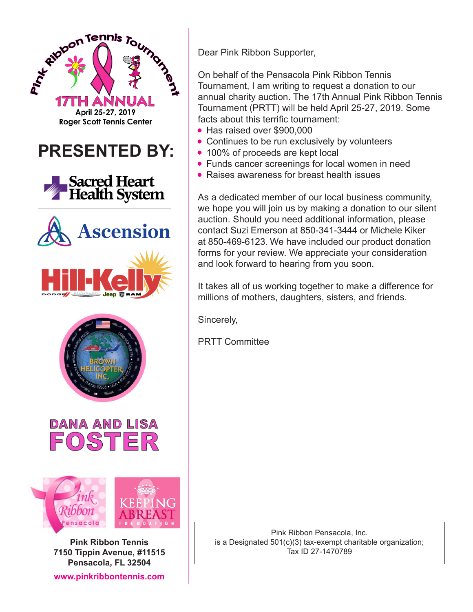

**Pink Ribbon Tennis 7150 Tippin Avenue, #11515 Pensacola, FL 32504**

**www.pinkribbontennis.com**

Dear Pink Ribbon Supporter,

On behalf of the Pensacola Pink Ribbon Tennis Tournament, I am writing to request a donation to our annual charity auction. The 17th Annual Pink Ribbon Tennis Tournament (PRTT) will be held April 25-27, 2019. Some facts about this terrific tournament:

- Has raised over \$900,000
- Continues to be run exclusively by volunteers
- 100% of proceeds are kept local
- Funds cancer screenings for local women in need
- Raises awareness for breast health issues

As a dedicated member of our local business community, we hope you will join us by making a donation to our silent auction. Should you need additional information, please contact Suzi Emerson at 850-341-3444 or Michele Kiker at 850-469-6123. We have included our product donation forms for your review. We appreciate your consideration and look forward to hearing from you soon.

It takes all of us working together to make a difference for millions of mothers, daughters, sisters, and friends.

Sincerely,

PRTT Committee

Pink Ribbon Pensacola, Inc. is a Designated 501(c)(3) tax-exempt charitable organization; Tax ID 27-1470789